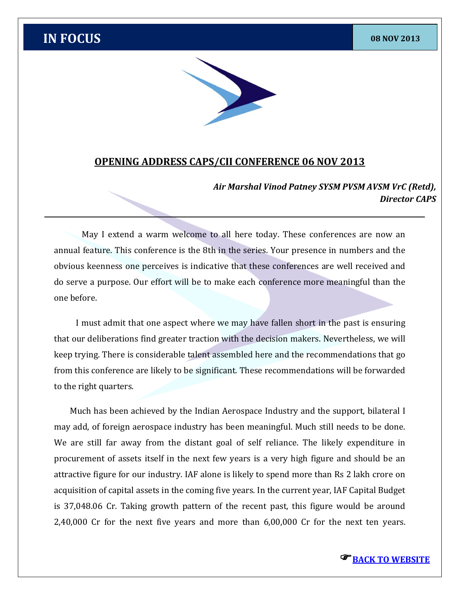# **IN FOCUS 108 NOV 2013**



#### **OPENING ADDRESS CAPS/CII CONFERENCE 06 NOV 2013**

*Air Marshal Vinod Patney SYSM PVSM AVSM VrC (Retd), Director CAPS*

 May I extend a warm welcome to all here today. These conferences are now an annual feature. This conference is the 8th in the series. Your presence in numbers and the obvious keenness one perceives is indicative that these conferences are well received and do serve a purpose. Our effort will be to make each conference more meaningful than the one before.

 I must admit that one aspect where we may have fallen short in the past is ensuring that our deliberations find greater traction with the decision makers. Nevertheless, we will keep trying. There is considerable talent assembled here and the recommendations that go from this conference are likely to be significant. These recommendations will be forwarded to the right quarters.

 Much has been achieved by the Indian Aerospace Industry and the support, bilateral I may add, of foreign aerospace industry has been meaningful. Much still needs to be done. We are still far away from the distant goal of self reliance. The likely expenditure in procurement of assets itself in the next few years is a very high figure and should be an attractive figure for our industry. IAF alone is likely to spend more than Rs 2 lakh crore on acquisition of capital assets in the coming five years. In the current year, IAF Capital Budget is 37,048.06 Cr. Taking growth pattern of the recent past, this figure would be around 2,40,000 Cr for the next five years and more than 6,00,000 Cr for the next ten years.

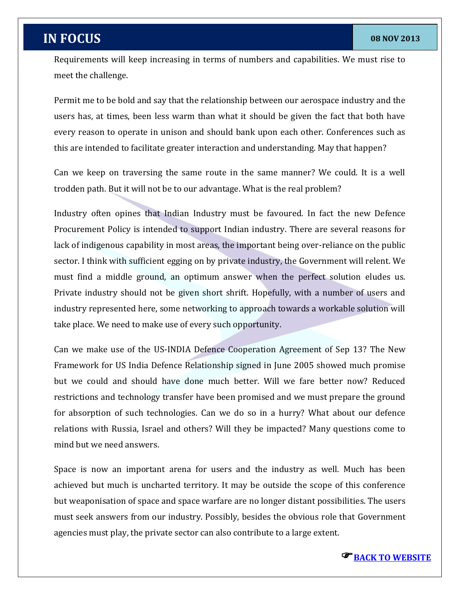**IN FOCUS 108 NOV 2013** 

Requirements will keep increasing in terms of numbers and capabilities. We must rise to meet the challenge.

Permit me to be bold and say that the relationship between our aerospace industry and the users has, at times, been less warm than what it should be given the fact that both have every reason to operate in unison and should bank upon each other. Conferences such as this are intended to facilitate greater interaction and understanding. May that happen?

Can we keep on traversing the same route in the same manner? We could. It is a well trodden path. But it will not be to our advantage. What is the real problem?

Industry often opines that Indian Industry must be favoured. In fact the new Defence Procurement Policy is intended to support Indian industry. There are several reasons for lack of indigenous capability in most areas, the important being over-reliance on the public sector. I think with sufficient egging on by private industry, the Government will relent. We must find a middle ground, an optimum answer when the perfect solution eludes us. Private industry should not be given short shrift. Hopefully, with a number of users and industry represented here, some networking to approach towards a workable solution will take place. We need to make use of every such opportunity.

Can we make use of the US-INDIA Defence Cooperation Agreement of Sep 13? The New Framework for US India Defence Relationship signed in June 2005 showed much promise but we could and should have done much better. Will we fare better now? Reduced restrictions and technology transfer have been promised and we must prepare the ground for absorption of such technologies. Can we do so in a hurry? What about our defence relations with Russia, Israel and others? Will they be impacted? Many questions come to mind but we need answers.

Space is now an important arena for users and the industry as well. Much has been achieved but much is uncharted territory. It may be outside the scope of this conference but weaponisation of space and space warfare are no longer distant possibilities. The users must seek answers from our industry. Possibly, besides the obvious role that Government agencies must play, the private sector can also contribute to a large extent.

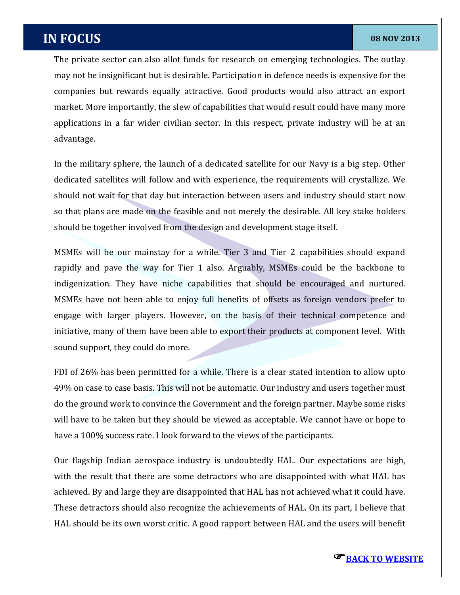## **IN FOCUS 08 NOV 2013**

The private sector can also allot funds for research on emerging technologies. The outlay may not be insignificant but is desirable. Participation in defence needs is expensive for the companies but rewards equally attractive. Good products would also attract an export market. More importantly, the slew of capabilities that would result could have many more applications in a far wider civilian sector. In this respect, private industry will be at an advantage.

In the military sphere, the launch of a dedicated satellite for our Navy is a big step. Other dedicated satellites will follow and with experience, the requirements will crystallize. We should not wait for that day but interaction between users and industry should start now so that plans are made on the feasible and not merely the desirable. All key stake holders should be together involved from the design and development stage itself.

MSMEs will be our mainstay for a while. Tier 3 and Tier 2 capabilities should expand rapidly and pave the way for Tier 1 also. Arguably, MSMEs could be the backbone to indigenization. They have niche capabilities that should be encouraged and nurtured. MSMEs have not been able to enjoy full benefits of offsets as foreign vendors prefer to engage with larger players. However, on the basis of their technical competence and initiative, many of them have been able to export their products at component level. With sound support, they could do more.

FDI of 26% has been permitted for a while. There is a clear stated intention to allow upto 49% on case to case basis. This will not be automatic. Our industry and users together must do the ground work to convince the Government and the foreign partner. Maybe some risks will have to be taken but they should be viewed as acceptable. We cannot have or hope to have a 100% success rate. I look forward to the views of the participants.

Our flagship Indian aerospace industry is undoubtedly HAL. Our expectations are high, with the result that there are some detractors who are disappointed with what HAL has achieved. By and large they are disappointed that HAL has not achieved what it could have. These detractors should also recognize the achievements of HAL. On its part, I believe that HAL should be its own worst critic. A good rapport between HAL and the users will benefit